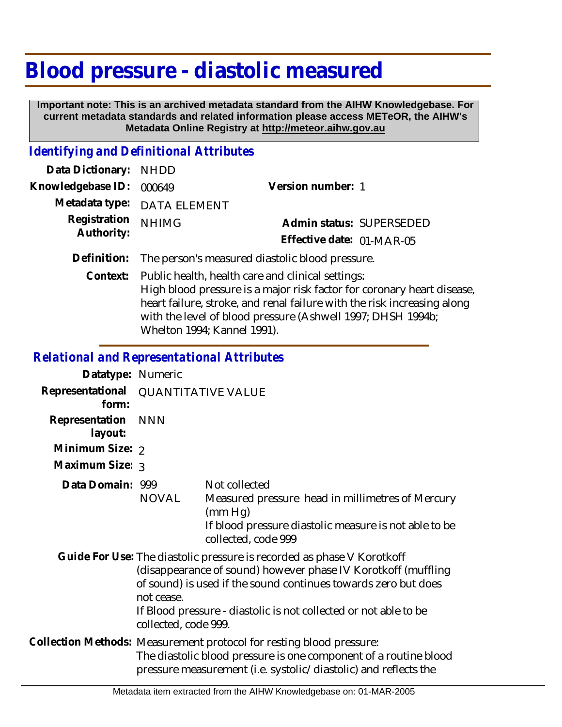# **Blood pressure - diastolic measured**

 **Important note: This is an archived metadata standard from the AIHW Knowledgebase. For current metadata standards and related information please access METeOR, the AIHW's Metadata Online Registry at http://meteor.aihw.gov.au**

### *Identifying and Definitional Attributes*

| Data Dictionary: NHDD    |                                                             |                           |  |
|--------------------------|-------------------------------------------------------------|---------------------------|--|
| Knowledgebase ID: 000649 |                                                             | Version number: 1         |  |
|                          | Metadata type: DATA ELEMENT                                 |                           |  |
| Registration             | <b>NHIMG</b>                                                | Admin status: SUPERSEDED  |  |
| Authority:               |                                                             | Effective date: 01-MAR-05 |  |
|                          | Definition: The person's measured diastolic blood pressure. |                           |  |
|                          | Context: Public health, health care and clinical settings:  |                           |  |
|                          |                                                             |                           |  |

High blood pressure is a major risk factor for coronary heart disease, heart failure, stroke, and renal failure with the risk increasing along with the level of blood pressure (Ashwell 1997; DHSH 1994b; Whelton 1994; Kannel 1991).

*Relational and Representational Attributes*

| Datatype: Numeric         |                                                                                                                                                                                                                                                                                                                     |                                                                                                                                                              |
|---------------------------|---------------------------------------------------------------------------------------------------------------------------------------------------------------------------------------------------------------------------------------------------------------------------------------------------------------------|--------------------------------------------------------------------------------------------------------------------------------------------------------------|
| Representational<br>form: | <b>QUANTITATIVE VALUE</b>                                                                                                                                                                                                                                                                                           |                                                                                                                                                              |
| Representation<br>layout: | <b>NNN</b>                                                                                                                                                                                                                                                                                                          |                                                                                                                                                              |
| Minimum Size: 2           |                                                                                                                                                                                                                                                                                                                     |                                                                                                                                                              |
| Maximum Size: 3           |                                                                                                                                                                                                                                                                                                                     |                                                                                                                                                              |
| Data Domain: 999          | NOVAL                                                                                                                                                                                                                                                                                                               | Not collected<br>Measured pressure head in millimetres of Mercury<br>(mm Hg)<br>If blood pressure diastolic measure is not able to be<br>collected, code 999 |
|                           | Guide For Use: The diastolic pressure is recorded as phase V Korotkoff<br>(disappearance of sound) however phase IV Korotkoff (muffling<br>of sound) is used if the sound continues towards zero but does<br>not cease.<br>If Blood pressure - diastolic is not collected or not able to be<br>collected, code 999. |                                                                                                                                                              |
|                           | Collection Methods: Measurement protocol for resting blood pressure:<br>The diastolic blood pressure is one component of a routine blood<br>pressure measurement (i.e. systolic/diastolic) and reflects the                                                                                                         |                                                                                                                                                              |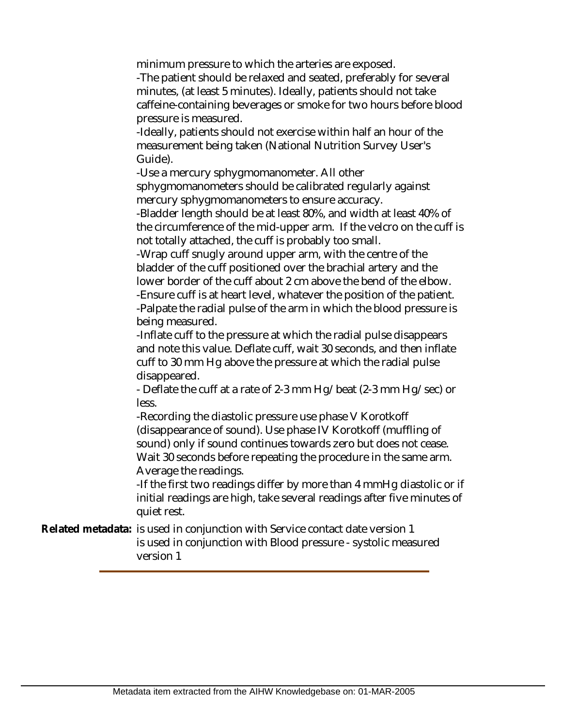minimum pressure to which the arteries are exposed.

-The patient should be relaxed and seated, preferably for several minutes, (at least 5 minutes). Ideally, patients should not take caffeine-containing beverages or smoke for two hours before blood pressure is measured.

-Ideally, patients should not exercise within half an hour of the measurement being taken (National Nutrition Survey User's Guide).

-Use a mercury sphygmomanometer. All other sphygmomanometers should be calibrated regularly against mercury sphygmomanometers to ensure accuracy.

-Bladder length should be at least 80%, and width at least 40% of the circumference of the mid-upper arm. If the velcro on the cuff is not totally attached, the cuff is probably too small.

-Wrap cuff snugly around upper arm, with the centre of the bladder of the cuff positioned over the brachial artery and the lower border of the cuff about 2 cm above the bend of the elbow. -Ensure cuff is at heart level, whatever the position of the patient. -Palpate the radial pulse of the arm in which the blood pressure is

being measured.

-Inflate cuff to the pressure at which the radial pulse disappears and note this value. Deflate cuff, wait 30 seconds, and then inflate cuff to 30 mm Hg above the pressure at which the radial pulse disappeared.

- Deflate the cuff at a rate of 2-3 mm Hg/beat (2-3 mm Hg/sec) or less.

-Recording the diastolic pressure use phase V Korotkoff (disappearance of sound). Use phase IV Korotkoff (muffling of sound) only if sound continues towards zero but does not cease. Wait 30 seconds before repeating the procedure in the same arm. Average the readings.

-If the first two readings differ by more than 4 mmHg diastolic or if initial readings are high, take several readings after five minutes of quiet rest.

Related metadata: is used in conjunction with Service contact date version 1 is used in conjunction with Blood pressure - systolic measured version 1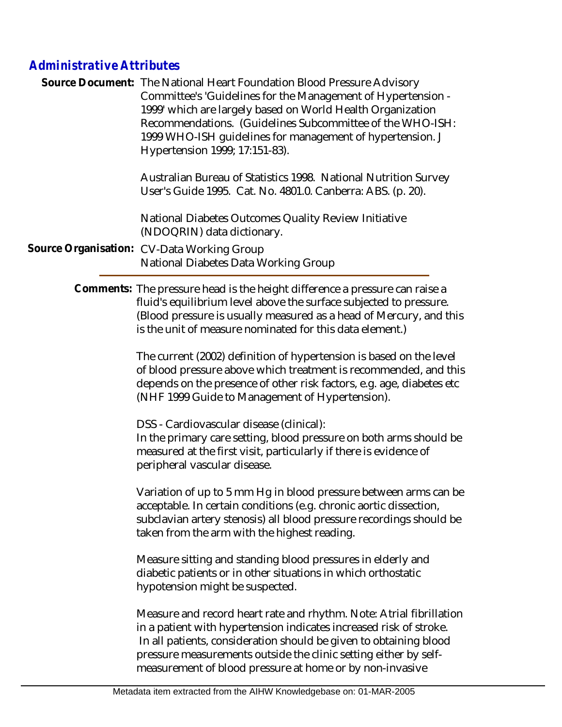# *Administrative Attributes*

| Source Document: The National Heart Foundation Blood Pressure Advisory<br>Committee's 'Guidelines for the Management of Hypertension -<br>1999' which are largely based on World Health Organization<br>Recommendations. (Guidelines Subcommittee of the WHO-ISH:<br>1999 WHO-ISH quidelines for management of hypertension. J<br>Hypertension 1999; 17:151-83). |  |
|------------------------------------------------------------------------------------------------------------------------------------------------------------------------------------------------------------------------------------------------------------------------------------------------------------------------------------------------------------------|--|
| Australian Bureau of Statistics 1998. National Nutrition Survey<br>User's Guide 1995. Cat. No. 4801.0. Canberra: ABS. (p. 20).                                                                                                                                                                                                                                   |  |
| National Diabetes Outcomes Quality Review Initiative<br>(NDOQRIN) data dictionary.                                                                                                                                                                                                                                                                               |  |
| Source Organisation: CV-Data Working Group<br>National Diabetes Data Working Group                                                                                                                                                                                                                                                                               |  |
| Comments: The pressure head is the height difference a pressure can raise a                                                                                                                                                                                                                                                                                      |  |

fluid's equilibrium level above the surface subjected to pressure. (Blood pressure is usually measured as a head of Mercury, and this is the unit of measure nominated for this data element.)

> The current (2002) definition of hypertension is based on the level of blood pressure above which treatment is recommended, and this depends on the presence of other risk factors, e.g. age, diabetes etc (NHF 1999 Guide to Management of Hypertension).

DSS - Cardiovascular disease (clinical):

In the primary care setting, blood pressure on both arms should be measured at the first visit, particularly if there is evidence of peripheral vascular disease.

Variation of up to 5 mm Hg in blood pressure between arms can be acceptable. In certain conditions (e.g. chronic aortic dissection, subclavian artery stenosis) all blood pressure recordings should be taken from the arm with the highest reading.

Measure sitting and standing blood pressures in elderly and diabetic patients or in other situations in which orthostatic hypotension might be suspected.

Measure and record heart rate and rhythm. Note: Atrial fibrillation in a patient with hypertension indicates increased risk of stroke. In all patients, consideration should be given to obtaining blood pressure measurements outside the clinic setting either by selfmeasurement of blood pressure at home or by non-invasive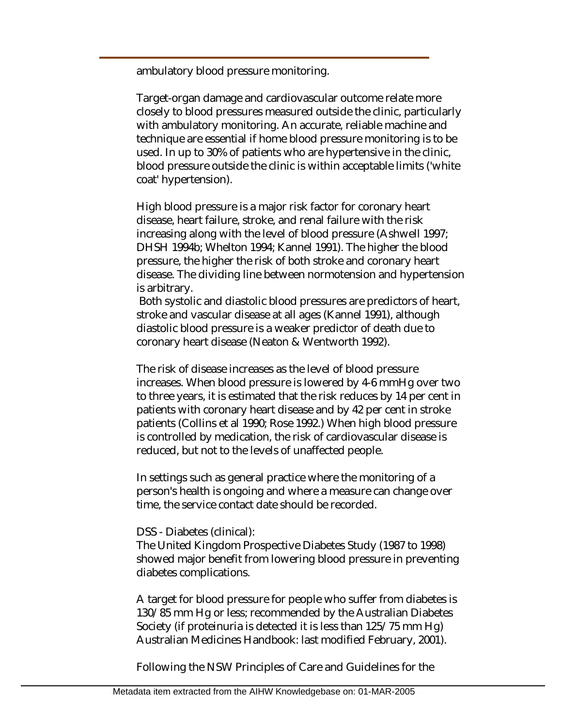ambulatory blood pressure monitoring.

Target-organ damage and cardiovascular outcome relate more closely to blood pressures measured outside the clinic, particularly with ambulatory monitoring. An accurate, reliable machine and technique are essential if home blood pressure monitoring is to be used. In up to 30% of patients who are hypertensive in the clinic, blood pressure outside the clinic is within acceptable limits ('white coat' hypertension).

High blood pressure is a major risk factor for coronary heart disease, heart failure, stroke, and renal failure with the risk increasing along with the level of blood pressure (Ashwell 1997; DHSH 1994b; Whelton 1994; Kannel 1991). The higher the blood pressure, the higher the risk of both stroke and coronary heart disease. The dividing line between normotension and hypertension is arbitrary.

 Both systolic and diastolic blood pressures are predictors of heart, stroke and vascular disease at all ages (Kannel 1991), although diastolic blood pressure is a weaker predictor of death due to coronary heart disease (Neaton & Wentworth 1992).

The risk of disease increases as the level of blood pressure increases. When blood pressure is lowered by 4-6 mmHg over two to three years, it is estimated that the risk reduces by 14 per cent in patients with coronary heart disease and by 42 per cent in stroke patients (Collins et al 1990; Rose 1992.) When high blood pressure is controlled by medication, the risk of cardiovascular disease is reduced, but not to the levels of unaffected people.

In settings such as general practice where the monitoring of a person's health is ongoing and where a measure can change over time, the service contact date should be recorded.

#### DSS - Diabetes (clinical):

The United Kingdom Prospective Diabetes Study (1987 to 1998) showed major benefit from lowering blood pressure in preventing diabetes complications.

A target for blood pressure for people who suffer from diabetes is 130/85 mm Hg or less; recommended by the Australian Diabetes Society (if proteinuria is detected it is less than 125/75 mm Hg) Australian Medicines Handbook: last modified February, 2001).

Following the NSW Principles of Care and Guidelines for the